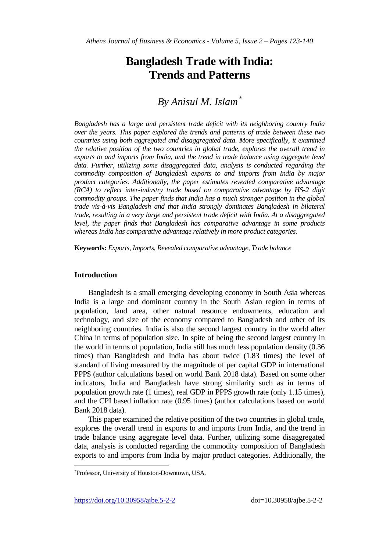# **Bangladesh Trade with India: Trends and Patterns**

# *By Anisul M. Islam*

*Bangladesh has a large and persistent trade deficit with its neighboring country India over the years. This paper explored the trends and patterns of trade between these two countries using both aggregated and disaggregated data. More specifically, it examined the relative position of the two countries in global trade, explores the overall trend in*  exports to and imports from India, and the trend in trade balance using aggregate level data. Further, utilizing some disaggregated data, analysis is conducted regarding the *commodity composition of Bangladesh exports to and imports from India by major product categories. Additionally, the paper estimates revealed comparative advantage (RCA) to reflect inter-industry trade based on comparative advantage by HS-2 digit commodity groups. The paper finds that India has a much stronger position in the global trade vis-à-vis Bangladesh and that India strongly dominates Bangladesh in bilateral trade, resulting in a very large and persistent trade deficit with India. At a disaggregated level, the paper finds that Bangladesh has comparative advantage in some products whereas India has comparative advantage relatively in more product categories.*

**Keywords:** *Exports, Imports, Revealed comparative advantage, Trade balance*

# **Introduction**

Bangladesh is a small emerging developing economy in South Asia whereas India is a large and dominant country in the South Asian region in terms of population, land area, other natural resource endowments, education and technology, and size of the economy compared to Bangladesh and other of its neighboring countries. India is also the second largest country in the world after China in terms of population size. In spite of being the second largest country in the world in terms of population, India still has much less population density (0.36 times) than Bangladesh and India has about twice (1.83 times) the level of standard of living measured by the magnitude of per capital GDP in international PPP\$ (author calculations based on world Bank 2018 data). Based on some other indicators, India and Bangladesh have strong similarity such as in terms of population growth rate (1 times), real GDP in PPP\$ growth rate (only 1.15 times), and the CPI based inflation rate (0.95 times) (author calculations based on world Bank 2018 data).

This paper examined the relative position of the two countries in global trade, explores the overall trend in exports to and imports from India, and the trend in trade balance using aggregate level data. Further, utilizing some disaggregated data, analysis is conducted regarding the commodity composition of Bangladesh exports to and imports from India by major product categories. Additionally, the

<https://doi.org/10.30958/ajbe.5-2-2>doi=10.30958/ajbe.5-2-2

 $\overline{a}$ 

Professor, University of Houston-Downtown, USA.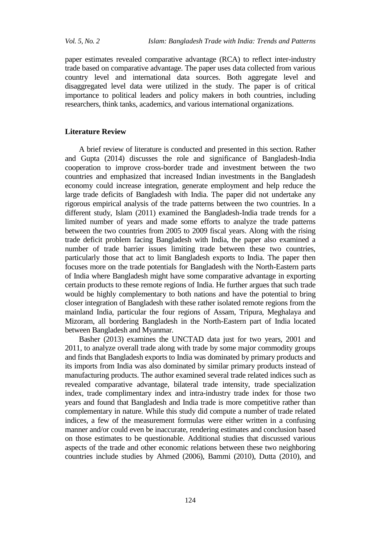paper estimates revealed comparative advantage (RCA) to reflect inter-industry trade based on comparative advantage. The paper uses data collected from various country level and international data sources. Both aggregate level and disaggregated level data were utilized in the study. The paper is of critical importance to political leaders and policy makers in both countries, including researchers, think tanks, academics, and various international organizations.

# **Literature Review**

A brief review of literature is conducted and presented in this section. Rather and Gupta (2014) discusses the role and significance of Bangladesh-India cooperation to improve cross-border trade and investment between the two countries and emphasized that increased Indian investments in the Bangladesh economy could increase integration, generate employment and help reduce the large trade deficits of Bangladesh with India. The paper did not undertake any rigorous empirical analysis of the trade patterns between the two countries. In a different study, Islam (2011) examined the Bangladesh-India trade trends for a limited number of years and made some efforts to analyze the trade patterns between the two countries from 2005 to 2009 fiscal years. Along with the rising trade deficit problem facing Bangladesh with India, the paper also examined a number of trade barrier issues limiting trade between these two countries, particularly those that act to limit Bangladesh exports to India. The paper then focuses more on the trade potentials for Bangladesh with the North-Eastern parts of India where Bangladesh might have some comparative advantage in exporting certain products to these remote regions of India. He further argues that such trade would be highly complementary to both nations and have the potential to bring closer integration of Bangladesh with these rather isolated remote regions from the mainland India, particular the four regions of Assam, Tripura, Meghalaya and Mizoram, all bordering Bangladesh in the North-Eastern part of India located between Bangladesh and Myanmar.

Basher (2013) examines the UNCTAD data just for two years, 2001 and 2011, to analyze overall trade along with trade by some major commodity groups and finds that Bangladesh exports to India was dominated by primary products and its imports from India was also dominated by similar primary products instead of manufacturing products. The author examined several trade related indices such as revealed comparative advantage, bilateral trade intensity, trade specialization index, trade complimentary index and intra-industry trade index for those two years and found that Bangladesh and India trade is more competitive rather than complementary in nature. While this study did compute a number of trade related indices, a few of the measurement formulas were either written in a confusing manner and/or could even be inaccurate, rendering estimates and conclusion based on those estimates to be questionable. Additional studies that discussed various aspects of the trade and other economic relations between these two neighboring countries include studies by Ahmed (2006), Bammi (2010), Dutta (2010), and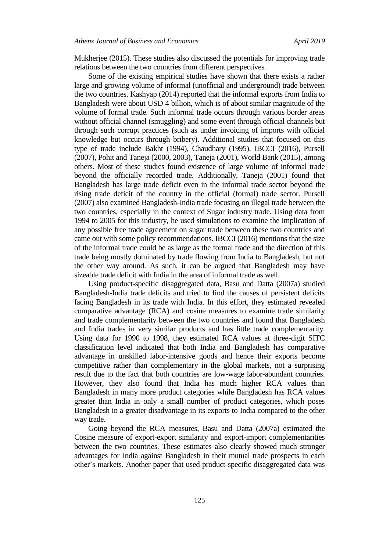Mukherjee (2015). These studies also discussed the potentials for improving trade relations between the two countries from different perspectives.

Some of the existing empirical studies have shown that there exists a rather large and growing volume of informal (unofficial and underground) trade between the two countries. Kashyap (2014) reported that the informal exports from India to Bangladesh were about USD 4 billion, which is of about similar magnitude of the volume of formal trade. Such informal trade occurs through various border areas without official channel (smuggling) and some event through official channels but through such corrupt practices (such as under invoicing of imports with official knowledge but occurs through bribery). Additional studies that focused on this type of trade include Bakht (1994), Chaudhary (1995), IBCCI (2016), Pursell (2007), Pohit and Taneja (2000, 2003), Taneja (2001), World Bank (2015), among others. Most of these studies found existence of large volume of informal trade beyond the officially recorded trade. Additionally, Taneja (2001) found that Bangladesh has large trade deficit even in the informal trade sector beyond the rising trade deficit of the country in the official (formal) trade sector. Pursell (2007) also examined Bangladesh-India trade focusing on illegal trade between the two countries, especially in the context of Sugar industry trade. Using data from 1994 to 2005 for this industry, he used simulations to examine the implication of any possible free trade agreement on sugar trade between these two countries and came out with some policy recommendations. IBCCI (2016) mentions that the size of the informal trade could be as large as the formal trade and the direction of this trade being mostly dominated by trade flowing from India to Bangladesh, but not the other way around. As such, it can be argued that Bangladesh may have sizeable trade deficit with India in the area of informal trade as well.

Using product-specific disaggregated data, Basu and Datta (2007a) studied Bangladesh-India trade deficits and tried to find the causes of persistent deficits facing Bangladesh in its trade with India. In this effort, they estimated revealed comparative advantage (RCA) and cosine measures to examine trade similarity and trade complementarity between the two countries and found that Bangladesh and India trades in very similar products and has little trade complementarity. Using data for 1990 to 1998, they estimated RCA values at three-digit SITC classification level indicated that both India and Bangladesh has comparative advantage in unskilled labor-intensive goods and hence their exports become competitive rather than complementary in the global markets, not a surprising result due to the fact that both countries are low-wage labor-abundant countries. However, they also found that India has much higher RCA values than Bangladesh in many more product categories while Bangladesh has RCA values greater than India in only a small number of product categories, which poses Bangladesh in a greater disadvantage in its exports to India compared to the other way trade.

Going beyond the RCA measures, Basu and Datta (2007a) estimated the Cosine measure of export-export similarity and export-import complementarities between the two countries. These estimates also clearly showed much stronger advantages for India against Bangladesh in their mutual trade prospects in each other's markets. Another paper that used product-specific disaggregated data was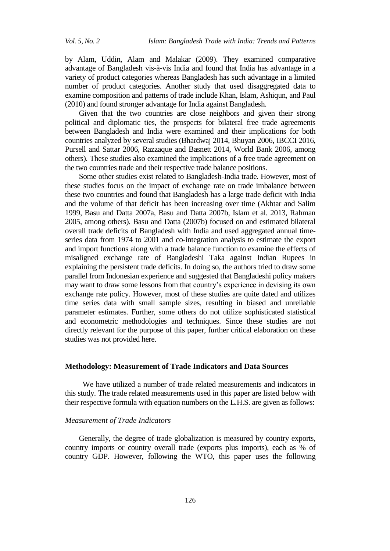by Alam, Uddin, Alam and Malakar (2009). They examined comparative advantage of Bangladesh vis-à-vis India and found that India has advantage in a variety of product categories whereas Bangladesh has such advantage in a limited number of product categories. Another study that used disaggregated data to examine composition and patterns of trade include Khan, Islam, Ashiqun, and Paul (2010) and found stronger advantage for India against Bangladesh.

Given that the two countries are close neighbors and given their strong political and diplomatic ties, the prospects for bilateral free trade agreements between Bangladesh and India were examined and their implications for both countries analyzed by several studies (Bhardwaj 2014, Bhuyan 2006, IBCCI 2016, Pursell and Sattar 2006, Razzaque and Basnett 2014, World Bank 2006, among others). These studies also examined the implications of a free trade agreement on the two countries trade and their respective trade balance positions.

Some other studies exist related to Bangladesh-India trade. However, most of these studies focus on the impact of exchange rate on trade imbalance between these two countries and found that Bangladesh has a large trade deficit with India and the volume of that deficit has been increasing over time (Akhtar and Salim 1999, Basu and Datta 2007a, Basu and Datta 2007b, Islam et al. 2013, Rahman 2005, among others). Basu and Datta (2007b) focused on and estimated bilateral overall trade deficits of Bangladesh with India and used aggregated annual timeseries data from 1974 to 2001 and co-integration analysis to estimate the export and import functions along with a trade balance function to examine the effects of misaligned exchange rate of Bangladeshi Taka against Indian Rupees in explaining the persistent trade deficits. In doing so, the authors tried to draw some parallel from Indonesian experience and suggested that Bangladeshi policy makers may want to draw some lessons from that country's experience in devising its own exchange rate policy. However, most of these studies are quite dated and utilizes time series data with small sample sizes, resulting in biased and unreliable parameter estimates. Further, some others do not utilize sophisticated statistical and econometric methodologies and techniques. Since these studies are not directly relevant for the purpose of this paper, further critical elaboration on these studies was not provided here.

# **Methodology: Measurement of Trade Indicators and Data Sources**

We have utilized a number of trade related measurements and indicators in this study. The trade related measurements used in this paper are listed below with their respective formula with equation numbers on the L.H.S. are given as follows:

# *Measurement of Trade Indicators*

Generally, the degree of trade globalization is measured by country exports, country imports or country overall trade (exports plus imports), each as % of country GDP. However, following the WTO, this paper uses the following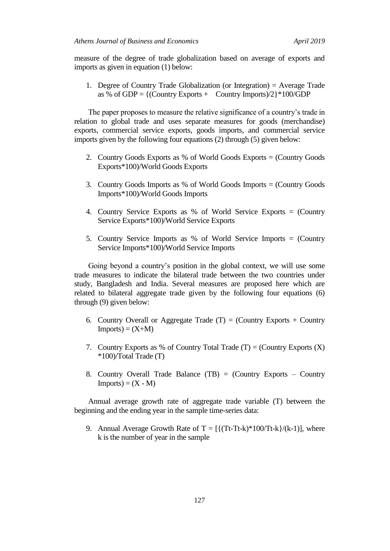measure of the degree of trade globalization based on average of exports and imports as given in equation (1) below:

1. Degree of Country Trade Globalization (or Integration) = Average Trade as % of GDP =  $\{$  (Country Exports + Country Imports) $/2$  $*100$ /GDP

The paper proposes to measure the relative significance of a country's trade in relation to global trade and uses separate measures for goods (merchandise) exports, commercial service exports, goods imports, and commercial service imports given by the following four equations (2) through (5) given below:

- 2. Country Goods Exports as % of World Goods Exports = (Country Goods Exports\*100)/World Goods Exports
- 3. Country Goods Imports as % of World Goods Imports = (Country Goods Imports\*100)/World Goods Imports
- 4. Country Service Exports as % of World Service Exports = (Country Service Exports\*100)/World Service Exports
- 5. Country Service Imports as % of World Service Imports = (Country Service Imports\*100)/World Service Imports

Going beyond a country's position in the global context, we will use some trade measures to indicate the bilateral trade between the two countries under study, Bangladesh and India. Several measures are proposed here which are related to bilateral aggregate trade given by the following four equations (6) through (9) given below:

- 6. Country Overall or Aggregate Trade  $(T) =$  (Country Exports + Country  $Imports = (X+M)$
- 7. Country Exports as % of Country Total Trade  $(T) =$  (Country Exports  $(X)$ ) \*100)/Total Trade (T)
- 8. Country Overall Trade Balance (TB) = (Country Exports Country  $Imports = (X - M)$

Annual average growth rate of aggregate trade variable (T) between the beginning and the ending year in the sample time-series data:

9. Annual Average Growth Rate of  $T = \frac{[\text{Tr-Tt-k}]}{100-\text{Tr-k}}$ /(k-1), where k is the number of year in the sample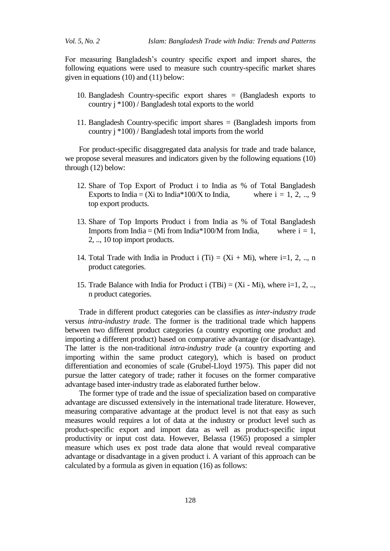For measuring Bangladesh's country specific export and import shares, the following equations were used to measure such country-specific market shares given in equations (10) and (11) below:

- 10. Bangladesh Country-specific export shares = (Bangladesh exports to country j \*100) / Bangladesh total exports to the world
- 11. Bangladesh Country-specific import shares = (Bangladesh imports from country j \*100) / Bangladesh total imports from the world

For product-specific disaggregated data analysis for trade and trade balance, we propose several measures and indicators given by the following equations (10) through (12) below:

- 12. Share of Top Export of Product i to India as % of Total Bangladesh Exports to India = (Xi to India\*100/X to India, where  $i = 1, 2, ..., 9$ top export products.
- 13. Share of Top Imports Product i from India as % of Total Bangladesh Imports from India = (Mi from India\*100/M from India, where  $i = 1$ , 2, .., 10 top import products.
- 14. Total Trade with India in Product i (Ti) =  $(Xi + Mi)$ , where i=1, 2, .., n product categories.
- 15. Trade Balance with India for Product i (TBi) =  $(Xi Mi)$ , where i=1, 2, ... n product categories.

Trade in different product categories can be classifies as *inter-industry trade* versus *intra-industry trade*. The former is the traditional trade which happens between two different product categories (a country exporting one product and importing a different product) based on comparative advantage (or disadvantage). The latter is the non-traditional *intra-industry trade* (a country exporting and importing within the same product category), which is based on product differentiation and economies of scale (Grubel-Lloyd 1975). This paper did not pursue the latter category of trade; rather it focuses on the former comparative advantage based inter-industry trade as elaborated further below.

The former type of trade and the issue of specialization based on comparative advantage are discussed extensively in the international trade literature. However, measuring comparative advantage at the product level is not that easy as such measures would requires a lot of data at the industry or product level such as product-specific export and import data as well as product-specific input productivity or input cost data. However, Belassa (1965) proposed a simpler measure which uses ex post trade data alone that would reveal comparative advantage or disadvantage in a given product i. A variant of this approach can be calculated by a formula as given in equation (16) as follows: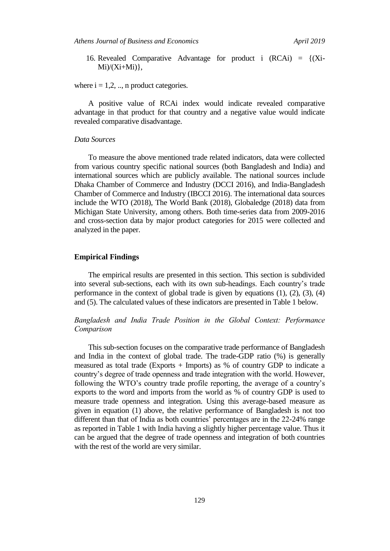*Athens Journal of Business and Economics April 2019*

16. Revealed Comparative Advantage for product i  $(RCAi) = \{(Xi\)$  $Mi$ ) $(Xi+Mi)$ ,

where  $i = 1, 2, \dots$ , n product categories.

A positive value of RCAi index would indicate revealed comparative advantage in that product for that country and a negative value would indicate revealed comparative disadvantage.

# *Data Sources*

To measure the above mentioned trade related indicators, data were collected from various country specific national sources (both Bangladesh and India) and international sources which are publicly available. The national sources include Dhaka Chamber of Commerce and Industry (DCCI 2016), and India-Bangladesh Chamber of Commerce and Industry (IBCCI 2016). The international data sources include the WTO (2018), The World Bank (2018), Globaledge (2018) data from Michigan State University, among others. Both time-series data from 2009-2016 and cross-section data by major product categories for 2015 were collected and analyzed in the paper.

### **Empirical Findings**

The empirical results are presented in this section. This section is subdivided into several sub-sections, each with its own sub-headings. Each country's trade performance in the context of global trade is given by equations (1), (2), (3), (4) and (5). The calculated values of these indicators are presented in Table 1 below.

*Bangladesh and India Trade Position in the Global Context: Performance Comparison*

This sub-section focuses on the comparative trade performance of Bangladesh and India in the context of global trade. The trade-GDP ratio (%) is generally measured as total trade (Exports + Imports) as % of country GDP to indicate a country's degree of trade openness and trade integration with the world. However, following the WTO's country trade profile reporting, the average of a country's exports to the word and imports from the world as % of country GDP is used to measure trade openness and integration. Using this average-based measure as given in equation (1) above, the relative performance of Bangladesh is not too different than that of India as both countries' percentages are in the 22-24% range as reported in Table 1 with India having a slightly higher percentage value. Thus it can be argued that the degree of trade openness and integration of both countries with the rest of the world are very similar.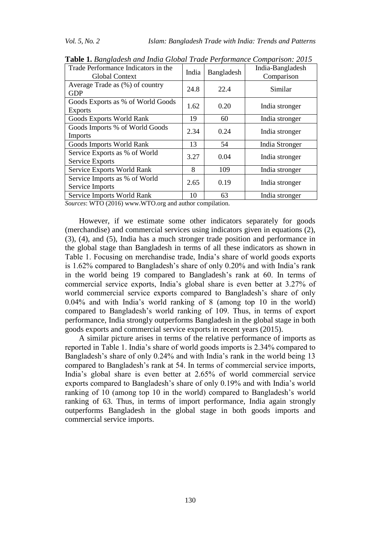| Trade Performance Indicators in the<br>India<br><b>Global Context</b> |      | Bangladesh | India-Bangladesh<br>Comparison |
|-----------------------------------------------------------------------|------|------------|--------------------------------|
| Average Trade as $(\%)$ of country<br><b>GDP</b>                      | 24.8 | 22.4       | Similar                        |
| Goods Exports as % of World Goods<br><b>Exports</b>                   | 1.62 | 0.20       | India stronger                 |
| Goods Exports World Rank                                              | 19   | 60         | India stronger                 |
| Goods Imports % of World Goods<br><b>Imports</b>                      | 2.34 | 0.24       | India stronger                 |
| Goods Imports World Rank                                              | 13   | 54         | India Stronger                 |
| Service Exports as % of World<br><b>Service Exports</b>               | 3.27 | 0.04       | India stronger                 |
| Service Exports World Rank                                            | 8    | 109        | India stronger                 |
| Service Imports as % of World<br>Service Imports                      | 2.65 | 0.19       | India stronger                 |
| Service Imports World Rank                                            | 10   | 63         | India stronger                 |

**Table 1.** *Bangladesh and India Global Trade Performance Comparison: 2015*

*Sources*: WTO (2016) www.WTO.org and author compilation.

However, if we estimate some other indicators separately for goods (merchandise) and commercial services using indicators given in equations (2), (3), (4), and (5), India has a much stronger trade position and performance in the global stage than Bangladesh in terms of all these indicators as shown in Table 1. Focusing on merchandise trade, India's share of world goods exports is 1.62% compared to Bangladesh's share of only 0.20% and with India's rank in the world being 19 compared to Bangladesh's rank at 60. In terms of commercial service exports, India's global share is even better at 3.27% of world commercial service exports compared to Bangladesh's share of only 0.04% and with India's world ranking of 8 (among top 10 in the world) compared to Bangladesh's world ranking of 109. Thus, in terms of export performance, India strongly outperforms Bangladesh in the global stage in both goods exports and commercial service exports in recent years (2015).

A similar picture arises in terms of the relative performance of imports as reported in Table 1. India's share of world goods imports is 2.34% compared to Bangladesh's share of only 0.24% and with India's rank in the world being 13 compared to Bangladesh's rank at 54. In terms of commercial service imports, India's global share is even better at 2.65% of world commercial service exports compared to Bangladesh's share of only 0.19% and with India's world ranking of 10 (among top 10 in the world) compared to Bangladesh's world ranking of 63. Thus, in terms of import performance, India again strongly outperforms Bangladesh in the global stage in both goods imports and commercial service imports.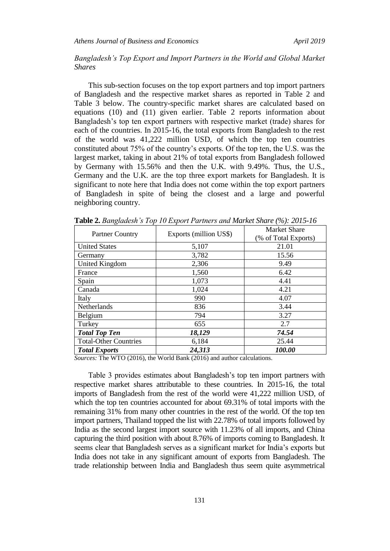# *Bangladesh's Top Export and Import Partners in the World and Global Market Shares*

This sub-section focuses on the top export partners and top import partners of Bangladesh and the respective market shares as reported in Table 2 and Table 3 below. The country-specific market shares are calculated based on equations (10) and (11) given earlier. Table 2 reports information about Bangladesh's top ten export partners with respective market (trade) shares for each of the countries. In 2015-16, the total exports from Bangladesh to the rest of the world was 41,222 million USD, of which the top ten countries constituted about 75% of the country's exports. Of the top ten, the U.S. was the largest market, taking in about 21% of total exports from Bangladesh followed by Germany with 15.56% and then the U.K. with 9.49%. Thus, the U.S., Germany and the U.K. are the top three export markets for Bangladesh. It is significant to note here that India does not come within the top export partners of Bangladesh in spite of being the closest and a large and powerful neighboring country.

| <b>Partner Country</b>       | Exports (million US\$) | <b>Market Share</b>  |  |  |
|------------------------------|------------------------|----------------------|--|--|
|                              |                        | (% of Total Exports) |  |  |
| <b>United States</b>         | 5,107                  | 21.01                |  |  |
| Germany                      | 3,782                  | 15.56                |  |  |
| <b>United Kingdom</b>        | 2,306                  | 9.49                 |  |  |
| France                       | 1,560                  | 6.42                 |  |  |
| Spain                        | 1,073                  | 4.41                 |  |  |
| Canada                       | 1,024                  | 4.21                 |  |  |
| Italy                        | 990                    | 4.07                 |  |  |
| Netherlands                  | 836                    | 3.44                 |  |  |
| Belgium                      | 794                    | 3.27                 |  |  |
| Turkey                       | 655                    | 2.7                  |  |  |
| <b>Total Top Ten</b>         | 18,129                 | 74.54                |  |  |
| <b>Total-Other Countries</b> | 6,184                  | 25.44                |  |  |
| <b>Total Exports</b>         | 24,313                 | 100.00               |  |  |

**Table 2.** *Bangladesh's Top 10 Export Partners and Market Share (%): 2015-16*

*Sources:* The WTO (2016), the World Bank (2016) and author calculations.

Table 3 provides estimates about Bangladesh's top ten import partners with respective market shares attributable to these countries. In 2015-16, the total imports of Bangladesh from the rest of the world were 41,222 million USD, of which the top ten countries accounted for about 69.31% of total imports with the remaining 31% from many other countries in the rest of the world. Of the top ten import partners, Thailand topped the list with 22.78% of total imports followed by India as the second largest import source with 11.23% of all imports, and China capturing the third position with about 8.76% of imports coming to Bangladesh. It seems clear that Bangladesh serves as a significant market for India's exports but India does not take in any significant amount of exports from Bangladesh. The trade relationship between India and Bangladesh thus seem quite asymmetrical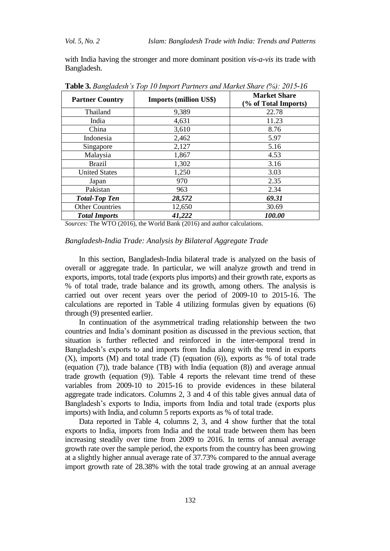with India having the stronger and more dominant position *vis-a-vis* its trade with Bangladesh.

| <b>Partner Country</b> | <b>Imports (million US\$)</b> | <b>Market Share</b><br>(% of Total Imports) |  |
|------------------------|-------------------------------|---------------------------------------------|--|
| Thailand               | 9,389                         | 22.78                                       |  |
| India                  | 4,631                         | 11.23                                       |  |
| China                  | 3,610                         | 8.76                                        |  |
| Indonesia              | 2,462                         | 5.97                                        |  |
| Singapore              | 2,127                         | 5.16                                        |  |
| Malaysia               | 1,867                         | 4.53                                        |  |
| <b>Brazil</b>          | 1,302                         | 3.16                                        |  |
| <b>United States</b>   | 1,250                         | 3.03                                        |  |
| Japan                  | 970                           | 2.35                                        |  |
| Pakistan               | 963                           | 2.34                                        |  |
| <b>Total-Top Ten</b>   | 28,572                        | 69.31                                       |  |
| <b>Other Countries</b> | 12,650                        | 30.69                                       |  |
| <b>Total Imports</b>   | 41,222                        | 100.00                                      |  |

**Table 3.** *Bangladesh's Top 10 Import Partners and Market Share (%): 2015-16*

*Sources:* The WTO (2016), the World Bank (2016) and author calculations.

# *Bangladesh-India Trade: Analysis by Bilateral Aggregate Trade*

In this section, Bangladesh-India bilateral trade is analyzed on the basis of overall or aggregate trade. In particular, we will analyze growth and trend in exports, imports, total trade (exports plus imports) and their growth rate, exports as % of total trade, trade balance and its growth, among others. The analysis is carried out over recent years over the period of 2009-10 to 2015-16. The calculations are reported in Table 4 utilizing formulas given by equations (6) through (9) presented earlier.

In continuation of the asymmetrical trading relationship between the two countries and India's dominant position as discussed in the previous section, that situation is further reflected and reinforced in the inter-temporal trend in Bangladesh's exports to and imports from India along with the trend in exports (X), imports (M) and total trade (T) (equation (6)), exports as % of total trade (equation (7)), trade balance (TB) with India (equation (8)) and average annual trade growth (equation (9)). Table 4 reports the relevant time trend of these variables from 2009-10 to 2015-16 to provide evidences in these bilateral aggregate trade indicators. Columns 2, 3 and 4 of this table gives annual data of Bangladesh's exports to India, imports from India and total trade (exports plus imports) with India, and column 5 reports exports as % of total trade.

Data reported in Table 4, columns 2, 3, and 4 show further that the total exports to India, imports from India and the total trade between them has been increasing steadily over time from 2009 to 2016. In terms of annual average growth rate over the sample period, the exports from the country has been growing at a slightly higher annual average rate of 37.73% compared to the annual average import growth rate of 28.38% with the total trade growing at an annual average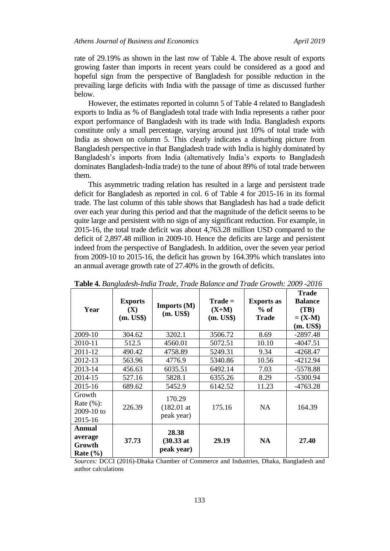rate of 29.19% as shown in the last row of Table 4. The above result of exports growing faster than imports in recent years could be considered as a good and hopeful sign from the perspective of Bangladesh for possible reduction in the prevailing large deficits with India with the passage of time as discussed further below.

However, the estimates reported in column 5 of Table 4 related to Bangladesh exports to India as % of Bangladesh total trade with India represents a rather poor export performance of Bangladesh with its trade with India. Bangladesh exports constitute only a small percentage, varying around just 10% of total trade with India as shown on column 5. This clearly indicates a disturbing picture from Bangladesh perspective in that Bangladesh trade with India is highly dominated by Bangladesh's imports from India (alternatively India's exports to Bangladesh dominates Bangladesh-India trade) to the tune of about 89% of total trade between them.

This asymmetric trading relation has resulted in a large and persistent trade deficit for Bangladesh as reported in col. 6 of Table 4 for 2015-16 in its formal trade. The last column of this table shows that Bangladesh has had a trade deficit over each year during this period and that the magnitude of the deficit seems to be quite large and persistent with no sign of any significant reduction. For example, in 2015-16, the total trade deficit was about 4,763.28 million USD compared to the deficit of 2,897.48 million in 2009-10. Hence the deficits are large and persistent indeed from the perspective of Bangladesh. In addition, over the seven year period from 2009-10 to 2015-16, the deficit has grown by 164.39% which translates into an annual average growth rate of 27.40% in the growth of deficits.

| <b>ravic +.</b> Danguaesh-maia Trade, Trade Dalance and Trade Growm. 2009 -2010 |                                               |                                             |                                   |                                             |                                                                  |  |
|---------------------------------------------------------------------------------|-----------------------------------------------|---------------------------------------------|-----------------------------------|---------------------------------------------|------------------------------------------------------------------|--|
| Year                                                                            | <b>Exports</b><br>$(\mathbf{X})$<br>(m. US\$) | <b>Imports</b> $(M)$<br>(m. US\$)           | $Trade =$<br>$(X+M)$<br>(m. US\$) | <b>Exports as</b><br>$%$ of<br><b>Trade</b> | <b>Trade</b><br><b>Balance</b><br>(TB)<br>$= (X-M)$<br>(m. US\$) |  |
| 2009-10                                                                         | 304.62                                        | 3202.1                                      | 3506.72                           | 8.69                                        | $-2897.48$                                                       |  |
| 2010-11                                                                         | 512.5                                         | 4560.01                                     | 5072.51                           | 10.10                                       | $-4047.51$                                                       |  |
| 2011-12                                                                         | 490.42                                        | 4758.89                                     | 5249.31                           | 9.34                                        | -4268.47                                                         |  |
| 2012-13                                                                         | 563.96                                        | 4776.9                                      | 5340.86                           | 10.56                                       | -4212.94                                                         |  |
| 2013-14                                                                         | 456.63                                        | 6035.51                                     | 6492.14                           | 7.03                                        | $-5578.88$                                                       |  |
| 2014-15                                                                         | 527.16                                        | 5828.1                                      | 6355.26                           | 8.29                                        | -5300.94                                                         |  |
| 2015-16                                                                         | 689.62                                        | 5452.9                                      | 6142.52                           | 11.23                                       | $-4763.28$                                                       |  |
| Growth<br>Rate $(\%):$<br>2009-10 to<br>2015-16                                 | 226.39                                        | 170.29<br>$(182.01$ at<br>peak year)        | 175.16                            | <b>NA</b>                                   | 164.39                                                           |  |
| Annual<br>average<br>Growth<br>Rate $(\% )$                                     | 37.73                                         | 28.38<br>$(30.33 \text{ at }$<br>peak year) | 29.19                             | <b>NA</b>                                   | 27.40                                                            |  |

**Table 4.** *Bangladesh-India Trade, Trade Balance and Trade Growth: 2009 -2016*

*Sources:* DCCI (2016)-Dhaka Chamber of Commerce and Industries, Dhaka, Bangladesh and author calculations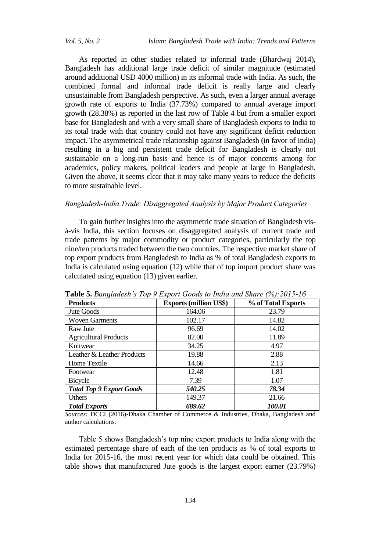As reported in other studies related to informal trade (Bhardwaj 2014), Bangladesh has additional large trade deficit of similar magnitude (estimated around additional USD 4000 million) in its informal trade with India. As such, the combined formal and informal trade deficit is really large and clearly unsustainable from Bangladesh perspective. As such, even a larger annual average growth rate of exports to India (37.73%) compared to annual average import growth (28.38%) as reported in the last row of Table 4 but from a smaller export base for Bangladesh and with a very small share of Bangladesh exports to India to its total trade with that country could not have any significant deficit reduction impact. The asymmetrical trade relationship against Bangladesh (in favor of India) resulting in a big and persistent trade deficit for Bangladesh is clearly not sustainable on a long-run basis and hence is of major concerns among for academics, policy makers, political leaders and people at large in Bangladesh. Given the above, it seems clear that it may take many years to reduce the deficits to more sustainable level.

# *Bangladesh-India Trade: Disaggregated Analysis by Major Product Categories*

To gain further insights into the asymmetric trade situation of Bangladesh visà-vis India, this section focuses on disaggregated analysis of current trade and trade patterns by major commodity or product categories, particularly the top nine/ten products traded between the two countries. The respective market share of top export products from Bangladesh to India as % of total Bangladesh exports to India is calculated using equation (12) while that of top import product share was calculated using equation (13) given earlier.

| <b>Products</b>                 | <b>Exports (million US\$)</b> | % of Total Exports |  |
|---------------------------------|-------------------------------|--------------------|--|
| Jute Goods                      | 164.06                        | 23.79              |  |
| <b>Woven Garments</b>           | 102.17                        | 14.82              |  |
| Raw Jute                        | 96.69                         | 14.02              |  |
| <b>Agricultural Products</b>    | 82.00                         | 11.89              |  |
| Knitwear                        | 34.25                         | 4.97               |  |
| Leather & Leather Products      | 19.88                         | 2.88               |  |
| Home Textile                    | 14.66                         | 2.13               |  |
| Footwear                        | 12.48                         | 1.81               |  |
| Bicycle                         | 7.39                          | 1.07               |  |
| <b>Total Top 9 Export Goods</b> | 540.25                        | 78.34              |  |
| Others                          | 149.37                        | 21.66              |  |
| <b>Total Exports</b>            | 689.62                        | 100.01             |  |

**Table 5.** *Bangladesh's Top 9 Export Goods to India and Share (%):2015-16*

*Sources:* DCCI (2016)-Dhaka Chamber of Commerce & Industries, Dhaka, Bangladesh and author calculations.

Table 5 shows Bangladesh's top nine export products to India along with the estimated percentage share of each of the ten products as % of total exports to India for 2015-16, the most recent year for which data could be obtained. This table shows that manufactured Jute goods is the largest export earner (23.79%)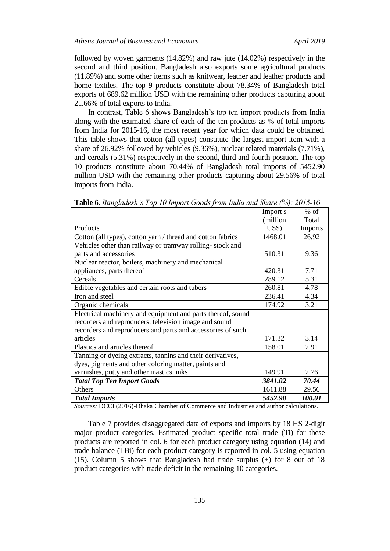followed by woven garments (14.82%) and raw jute (14.02%) respectively in the second and third position. Bangladesh also exports some agricultural products (11.89%) and some other items such as knitwear, leather and leather products and home textiles. The top 9 products constitute about 78.34% of Bangladesh total exports of 689.62 million USD with the remaining other products capturing about 21.66% of total exports to India.

In contrast, Table 6 shows Bangladesh's top ten import products from India along with the estimated share of each of the ten products as % of total imports from India for 2015-16, the most recent year for which data could be obtained. This table shows that cotton (all types) constitute the largest import item with a share of 26.92% followed by vehicles (9.36%), nuclear related materials (7.71%), and cereals (5.31%) respectively in the second, third and fourth position. The top 10 products constitute about 70.44% of Bangladesh total imports of 5452.90 million USD with the remaining other products capturing about 29.56% of total imports from India.

|                                                             | Import s            | $%$ of         |
|-------------------------------------------------------------|---------------------|----------------|
|                                                             | (million            | Total          |
| Products                                                    | $\overline{U}$ S\$) | <b>Imports</b> |
|                                                             |                     |                |
| Cotton (all types), cotton yarn / thread and cotton fabrics | 1468.01             | 26.92          |
| Vehicles other than railway or tramway rolling-stock and    |                     |                |
| parts and accessories                                       | 510.31              | 9.36           |
| Nuclear reactor, boilers, machinery and mechanical          |                     |                |
| appliances, parts thereof                                   | 420.31              | 7.71           |
| Cereals                                                     | 289.12              | 5.31           |
| Edible vegetables and certain roots and tubers              | 260.81              | 4.78           |
| Iron and steel                                              | 236.41              | 4.34           |
| Organic chemicals                                           | 174.92              | 3.21           |
| Electrical machinery and equipment and parts thereof, sound |                     |                |
| recorders and reproducers, television image and sound       |                     |                |
| recorders and reproducers and parts and accessories of such |                     |                |
| articles                                                    | 171.32              | 3.14           |
| Plastics and articles thereof                               | 158.01              | 2.91           |
| Tanning or dyeing extracts, tannins and their derivatives,  |                     |                |
| dyes, pigments and other coloring matter, paints and        |                     |                |
| varnishes, putty and other mastics, inks                    | 149.91              | 2.76           |
| <b>Total Top Ten Import Goods</b>                           | 3841.02             | 70.44          |
| Others                                                      | 1611.88             | 29.56          |
| <b>Total Imports</b>                                        | 5452.90             | 100.01         |

**Table 6.** *Bangladesh's Top 10 Import Goods from India and Share (%): 2015-16*

*Sources:* DCCI (2016)-Dhaka Chamber of Commerce and Industries and author calculations.

Table 7 provides disaggregated data of exports and imports by 18 HS 2-digit major product categories. Estimated product specific total trade (Ti) for these products are reported in col. 6 for each product category using equation (14) and trade balance (TBi) for each product category is reported in col. 5 using equation (15). Column 5 shows that Bangladesh had trade surplus (+) for 8 out of 18 product categories with trade deficit in the remaining 10 categories.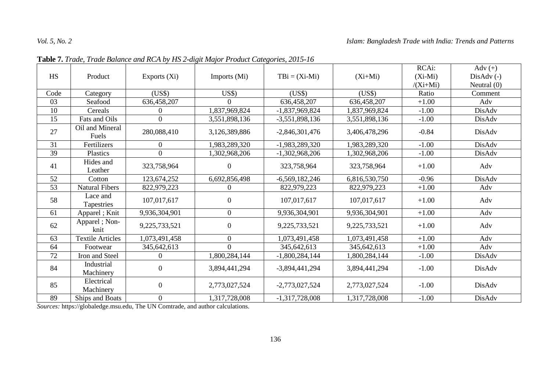|           |                          |                  |                  |                  |               | RCAi:      | Adv $(+)$     |
|-----------|--------------------------|------------------|------------------|------------------|---------------|------------|---------------|
| <b>HS</b> | Product                  | Exports (Xi)     | Imports (Mi)     | $TBi = (Xi-Mi)$  | $(Xi+Mi)$     | $(Xi-Mi)$  | $DisAdv(-)$   |
|           |                          |                  |                  |                  |               | $/(Xi+Mi)$ | Neutral $(0)$ |
| Code      | Category                 | (US\$)           | US\$             | (US\$)           | (US\$)        | Ratio      | Comment       |
| 03        | Seafood                  | 636,458,207      | $\Omega$         | 636,458,207      | 636,458,207   | $+1.00$    | Adv           |
| 10        | Cereals                  | 0                | 1,837,969,824    | $-1,837,969,824$ | 1,837,969,824 | $-1.00$    | DisAdv        |
| 15        | Fats and Oils            | $\overline{0}$   | 3,551,898,136    | $-3,551,898,136$ | 3,551,898,136 | $-1.00$    | DisAdv        |
| 27        | Oil and Mineral<br>Fuels | 280,088,410      | 3,126,389,886    | $-2,846,301,476$ | 3,406,478,296 | $-0.84$    | DisAdv        |
| 31        | Fertilizers              | $\overline{0}$   | 1,983,289,320    | -1,983,289,320   | 1,983,289,320 | $-1.00$    | DisAdv        |
| 39        | Plastics                 | $\overline{0}$   | 1,302,968,206    | $-1,302,968,206$ | 1,302,968,206 | $-1.00$    | DisAdv        |
| 41        | Hides and<br>Leather     | 323,758,964      | $\boldsymbol{0}$ | 323,758,964      | 323,758,964   | $+1.00$    | Adv           |
| 52        | Cotton                   | 123,674,252      | 6,692,856,498    | $-6,569,182,246$ | 6,816,530,750 | $-0.96$    | DisAdv        |
| 53        | <b>Natural Fibers</b>    | 822,979,223      | $\overline{0}$   | 822,979,223      | 822,979,223   | $+1.00$    | Adv           |
| 58        | Lace and<br>Tapestries   | 107,017,617      | $\overline{0}$   | 107,017,617      | 107,017,617   | $+1.00$    | Adv           |
| 61        | Apparel; Knit            | 9,936,304,901    | $\overline{0}$   | 9,936,304,901    | 9,936,304,901 | $+1.00$    | Adv           |
| 62        | Apparel ; Non-<br>knit   | 9,225,733,521    | $\overline{0}$   | 9,225,733,521    | 9,225,733,521 | $+1.00$    | Adv           |
| 63        | <b>Textile Articles</b>  | 1,073,491,458    | $\mathbf{0}$     | 1,073,491,458    | 1,073,491,458 | $+1.00$    | Adv           |
| 64        | Footwear                 | 345,642,613      | $\Omega$         | 345,642,613      | 345,642,613   | $+1.00$    | Adv           |
| 72        | Iron and Steel           | $\boldsymbol{0}$ | 1,800,284,144    | $-1,800,284,144$ | 1,800,284,144 | $-1.00$    | DisAdv        |
| 84        | Industrial<br>Machinery  | $\boldsymbol{0}$ | 3,894,441,294    | $-3,894,441,294$ | 3,894,441,294 | $-1.00$    | DisAdv        |
| 85        | Electrical<br>Machinery  | $\overline{0}$   | 2,773,027,524    | $-2,773,027,524$ | 2,773,027,524 | $-1.00$    | DisAdv        |
| 89        | Ships and Boats          | $\overline{0}$   | 1,317,728,008    | $-1,317,728,008$ | 1,317,728,008 | $-1.00$    | DisAdv        |

**Table 7.** *Trade, Trade Balance and RCA by HS 2-digit Major Product Categories, 2015-16*

*Sources:* https://globaledge.msu.edu, The UN Comtrade, and author calculations.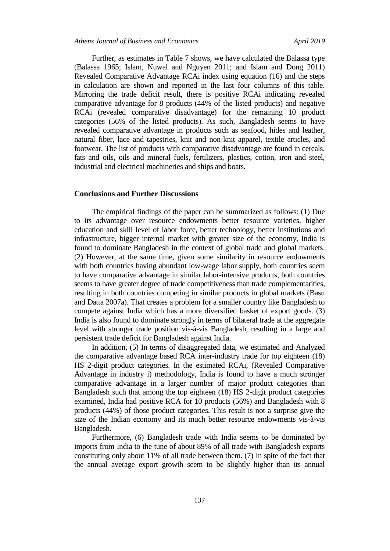Further, as estimates in Table 7 shows, we have calculated the Balassa type (Balassa 1965; Islam, Nuwal and Nguyen 2011; and Islam and Dong 2011) Revealed Comparative Advantage RCAi index using equation (16) and the steps in calculation are shown and reported in the last four columns of this table. Mirroring the trade deficit result, there is positive RCAi indicating revealed comparative advantage for 8 products (44% of the listed products) and negative RCAi (revealed comparative disadvantage) for the remaining 10 product categories (56% of the listed products). As such, Bangladesh seems to have revealed comparative advantage in products such as seafood, hides and leather, natural fiber, lace and tapestries, knit and non-knit apparel, textile articles, and footwear. The list of products with comparative disadvantage are found in cereals, fats and oils, oils and mineral fuels, fertilizers, plastics, cotton, iron and steel, industrial and electrical machineries and ships and boats.

# **Conclusions and Further Discussions**

The empirical findings of the paper can be summarized as follows: (1) Due to its advantage over resource endowments better resource varieties, higher education and skill level of labor force, better technology, better institutions and infrastructure, bigger internal market with greater size of the economy, India is found to dominate Bangladesh in the context of global trade and global markets. (2) However, at the same time, given some similarity in resource endowments with both countries having abundant low-wage labor supply, both countries seem to have comparative advantage in similar labor-intensive products, both countries seems to have greater degree of trade competitiveness than trade complementarities, resulting in both countries competing in similar products in global markets (Basu and Datta 2007a). That creates a problem for a smaller country like Bangladesh to compete against India which has a more diversified basket of export goods. (3) India is also found to dominate strongly in terms of bilateral trade at the aggregate level with stronger trade position vis-à-vis Bangladesh, resulting in a large and persistent trade deficit for Bangladesh against India.

In addition, (5) In terms of disaggregated data, we estimated and Analyzed the comparative advantage based RCA inter-industry trade for top eighteen (18) HS 2-digit product categories. In the estimated RCAi, (Revealed Comparative Advantage in industry i) methodology, India is found to have a much stronger comparative advantage in a larger number of major product categories than Bangladesh such that among the top eighteen (18) HS 2-digit product categories examined, India had positive RCA for 10 products (56%) and Bangladesh with 8 products (44%) of those product categories. This result is not a surprise give the size of the Indian economy and its much better resource endowments vis-à-vis Bangladesh.

Furthermore, (6) Bangladesh trade with India seems to be dominated by imports from India to the tune of about 89% of all trade with Bangladesh exports constituting only about 11% of all trade between them. (7) In spite of the fact that the annual average export growth seem to be slightly higher than its annual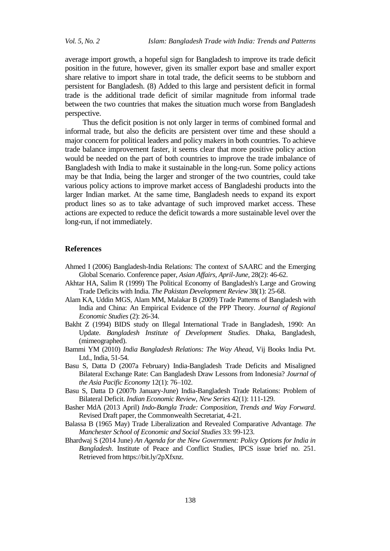average import growth, a hopeful sign for Bangladesh to improve its trade deficit position in the future, however, given its smaller export base and smaller export share relative to import share in total trade, the deficit seems to be stubborn and persistent for Bangladesh. (8) Added to this large and persistent deficit in formal trade is the additional trade deficit of similar magnitude from informal trade between the two countries that makes the situation much worse from Bangladesh perspective.

Thus the deficit position is not only larger in terms of combined formal and informal trade, but also the deficits are persistent over time and these should a major concern for political leaders and policy makers in both countries. To achieve trade balance improvement faster, it seems clear that more positive policy action would be needed on the part of both countries to improve the trade imbalance of Bangladesh with India to make it sustainable in the long-run. Some policy actions may be that India, being the larger and stronger of the two countries, could take various policy actions to improve market access of Bangladeshi products into the larger Indian market. At the same time, Bangladesh needs to expand its export product lines so as to take advantage of such improved market access. These actions are expected to reduce the deficit towards a more sustainable level over the long-run, if not immediately.

#### **References**

- Ahmed I (2006) Bangladesh-India Relations: The context of SAARC and the Emerging Global Scenario. Conference paper, *Asian Affairs, April-June,* 28(2): 46-62.
- Akhtar HA, Salim R (1999) The Political Economy of Bangladesh's Large and Growing Trade Deficits with India. *[The Pakistan Development](http://econpapers.repec.org/article/pidjournl/) Review* 38(1): 25-68.
- Alam KA, Uddin MGS, Alam MM, Malakar B (2009) Trade Patterns of Bangladesh with India and China: An Empirical Evidence of the PPP Theory. *Journal of Regional Economic Studies* (2): 26-34.
- Bakht Z (1994) BIDS study on Illegal International Trade in Bangladesh, 1990: An Update. *Bangladesh Institute of Development Studies*. Dhaka, Bangladesh, (mimeographed).
- Bammi YM (2010) *India Bangladesh Relations: The Way Ahead*, Vij Books India Pvt. Ltd., India, 51-54.
- Basu S, Datta D (2007a February) India-Bangladesh Trade Deficits and Misaligned Bilateral Exchange Rate: Can Bangladesh Draw Lessons from Indonesia? *Journal of the Asia Pacific Economy* 12(1): 76–102.
- Basu S, Datta D (2007b January-June) India-Bangladesh Trade Relations: Problem of Bilateral Deficit. *Indian Economic Review*, *New Series* 42(1): 111-129.
- Basher MdA (2013 April) *Indo-Bangla Trade: Composition, Trends and Way Forward*. Revised Draft paper, the Commonwealth Secretariat, 4-21.
- Balassa B (1965 May) Trade Liberalization and Revealed Comparative Advantage.. *The Manchester School of Economic and Social Studies* 33: 99-123.
- Bhardwaj S (2014 June) *An Agenda for the New Government: Policy Options for India in Bangladesh*. Institute of Peace and Conflict Studies, IPCS issue brief no. 251. Retrieved from https://bit.ly/2pXfxnz.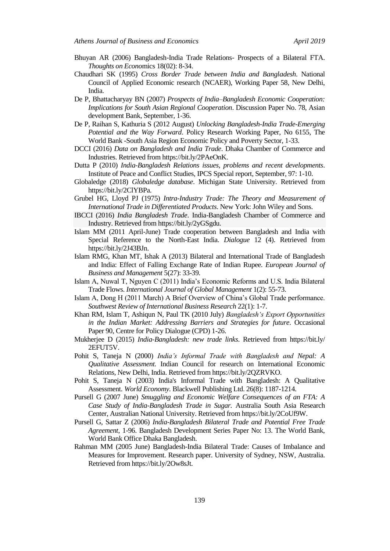- Bhuyan AR (2006) Bangladesh-India Trade Relations- Prospects of a Bilateral FTA. *Thoughts on Econo*mics 18(02): 8-34.
- Chaudhari SK (1995) *Cross Border Trade between India and Bangladesh*. National Council of Applied Economic research (NCAER), Working Paper 58, New Delhi, India.
- De P, Bhattacharyay BN (2007) *Prospects of India–Bangladesh Economic Cooperation: Implications for South Asian Regional Cooperation*. Discussion Paper No. 78, Asian development Bank, September, 1-36.
- De P, Raihan S, Kathuria S (2012 August) *Unlocking Bangladesh-India Trade-Emerging Potential and the Way Forward*. Policy Research Working Paper, No 6155, The World Bank -South Asia Region Economic Policy and Poverty Sector, 1-33.
- DCCI (2016) *Data on Bangladesh and India Trade*. Dhaka Chamber of Commerce and Industries. Retrieved from https://bit.ly/2PAeOnK.
- Dutta P (2010) *India-Bangladesh Relations issues, problems and recent developments*. Institute of Peace and Conflict Studies, IPCS Special report, September, 97: 1-10.
- Globaledge (2018) *Globaledge database*. Michigan State University. Retrieved from https://bit.ly/2ClYBPa.
- Grubel HG, Lloyd PJ (1975) *Intra-Industry Trade: The Theory and Measurement of International Trade in Differentiated Products*. New York: John Wiley and Sons.
- IBCCI (2016) *India Bangladesh Trade*. India-Bangladesh Chamber of Commerce and Industry. Retrieved from https://bit.ly/2yGSgdu.
- Islam MM (2011 April-June) Trade cooperation between Bangladesh and India with Special Reference to the North-East India. *Dialogue* 12 (4). Retrieved from https://bit.ly/2J43BJn.
- Islam RMG, Khan MT, Ishak A (2013) Bilateral and International Trade of Bangladesh and India: Effect of Falling Exchange Rate of Indian Rupee. *European Journal of Business and Management* 5(27): 33-39.
- Islam A, Nuwal T, Nguyen C (2011) India's Economic Reforms and U.S. India Bilateral Trade Flows. *International Journal of Global Management* 1(2): 55-73.
- Islam A, Dong H (2011 March) A Brief Overview of China's Global Trade performance. *Southwest Review of International Business Research* 22(1): 1-7.
- Khan RM, Islam T, Ashiqun N, Paul TK (2010 July) *Bangladesh's Export Opportunities in the Indian Market: Addressing Barriers and Strategies for future*. Occasional Paper 90, Centre for Policy Dialogue (CPD) 1-26.
- Mukherjee D (2015) *India-Bangladesh: new trade links*. Retrieved from https://bit.ly/ 2EFUT5V.
- Pohit S, Taneja N (2000) *India's Informal Trade with Bangladesh and Nepal: A Qualitative Assessment.* Indian Council for research on International Economic Relations, New Delhi, India. Retrieved from https://bit.ly/2QZRVKO.
- [Pohit S, T](http://www.researchgate.net/profile/Sanjib_Pohit)aneja N (2003) India's Informal Trade with Bangladesh: A Qualitative Assessment. *[World Economy.](http://www.researchgate.net/journal/0378-5920_World_Economy)* Blackwell Publishing Ltd. 26(8): 1187-1214.
- Pursell G (2007 June) *Smuggling and Economic Welfare Consequences of an FTA: A Case Study of India-Bangladesh Trade in Sugar.* Australia South Asia Research Center, Australian National University. Retrieved from https://bit.ly/2CoUf9W.
- Pursell G, Sattar Z (2006) *India-Bangladesh Bilateral Trade and Potential Free Trade Agreement*, 1-96. Bangladesh Development Series Paper No: 13. The World Bank, World Bank Office Dhaka Bangladesh.
- Rahman MM (2005 June) Bangladesh-India Bilateral Trade: Causes of Imbalance and Measures for Improvement. Research paper. University of Sydney, NSW, Australia. Retrieved from https://bit.ly/2Ow8sJt.